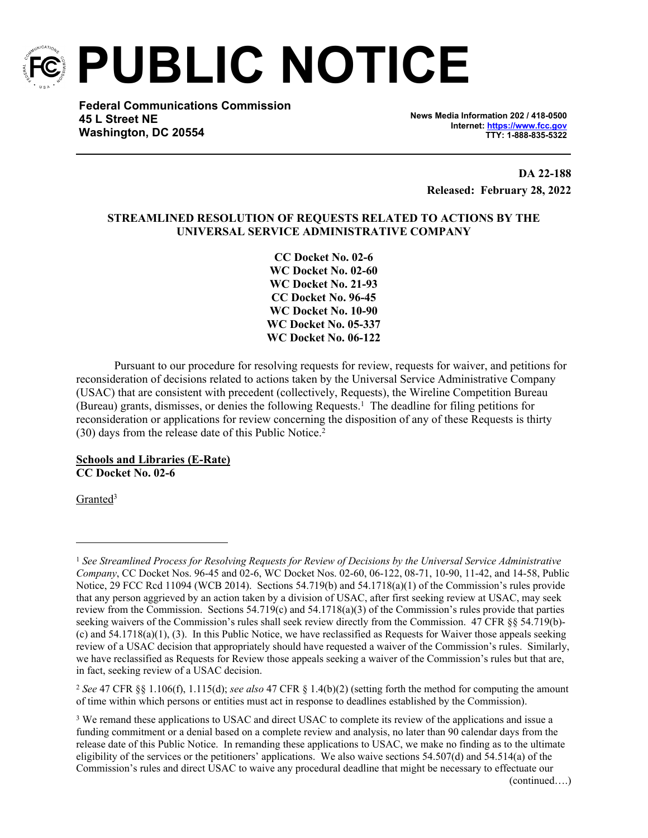

**PUBLIC NOTICE**

**Federal Communications Commission 45 L Street NE Washington, DC 20554**

**News Media Information 202 / 418-0500 Internet:<https://www.fcc.gov> TTY: 1-888-835-5322**

> **DA 22-188 Released: February 28, 2022**

# **STREAMLINED RESOLUTION OF REQUESTS RELATED TO ACTIONS BY THE UNIVERSAL SERVICE ADMINISTRATIVE COMPANY**

**CC Docket No. 02-6 WC Docket No. 02-60 WC Docket No. 21-93 CC Docket No. 96-45 WC Docket No. 10-90 WC Docket No. 05-337 WC Docket No. 06-122**

Pursuant to our procedure for resolving requests for review, requests for waiver, and petitions for reconsideration of decisions related to actions taken by the Universal Service Administrative Company (USAC) that are consistent with precedent (collectively, Requests), the Wireline Competition Bureau (Bureau) grants, dismisses, or denies the following Requests.<sup>1</sup> The deadline for filing petitions for reconsideration or applications for review concerning the disposition of any of these Requests is thirty (30) days from the release date of this Public Notice.<sup>2</sup>

**Schools and Libraries (E-Rate) CC Docket No. 02-6**

Granted<sup>3</sup>

<sup>2</sup> *See* 47 CFR §§ 1.106(f), 1.115(d); *see also* 47 CFR § 1.4(b)(2) (setting forth the method for computing the amount of time within which persons or entities must act in response to deadlines established by the Commission).

<sup>1</sup> *See Streamlined Process for Resolving Requests for Review of Decisions by the Universal Service Administrative Company*, CC Docket Nos. 96-45 and 02-6, WC Docket Nos. 02-60, 06-122, 08-71, 10-90, 11-42, and 14-58, Public Notice, 29 FCC Rcd 11094 (WCB 2014). Sections 54.719(b) and 54.1718(a)(1) of the Commission's rules provide that any person aggrieved by an action taken by a division of USAC, after first seeking review at USAC, may seek review from the Commission. Sections 54.719(c) and 54.1718(a)(3) of the Commission's rules provide that parties seeking waivers of the Commission's rules shall seek review directly from the Commission. 47 CFR §§ 54.719(b)- $(c)$  and  $54.1718(a)(1)$ ,  $(3)$ . In this Public Notice, we have reclassified as Requests for Waiver those appeals seeking review of a USAC decision that appropriately should have requested a waiver of the Commission's rules. Similarly, we have reclassified as Requests for Review those appeals seeking a waiver of the Commission's rules but that are, in fact, seeking review of a USAC decision.

<sup>&</sup>lt;sup>3</sup> We remand these applications to USAC and direct USAC to complete its review of the applications and issue a funding commitment or a denial based on a complete review and analysis, no later than 90 calendar days from the release date of this Public Notice. In remanding these applications to USAC, we make no finding as to the ultimate eligibility of the services or the petitioners' applications. We also waive sections 54.507(d) and 54.514(a) of the Commission's rules and direct USAC to waive any procedural deadline that might be necessary to effectuate our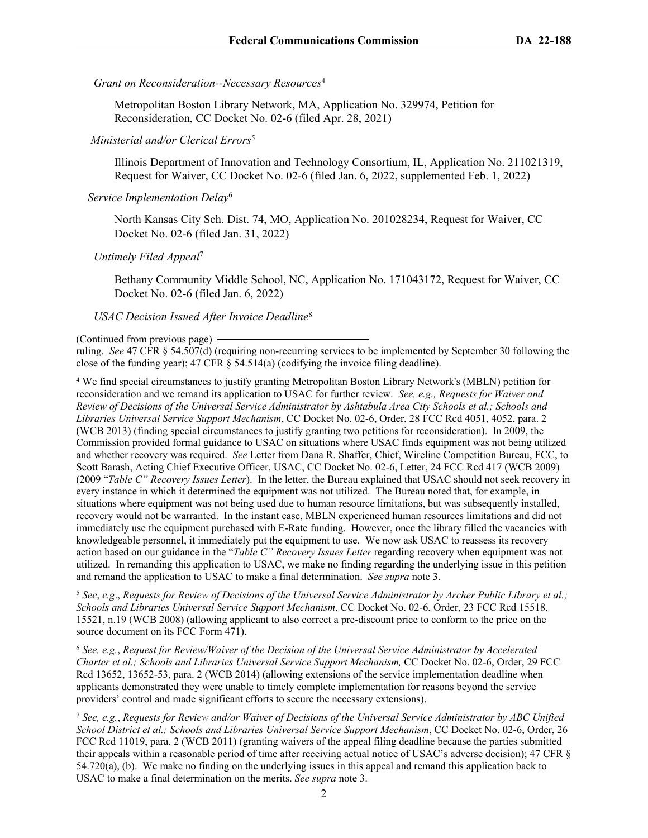*Grant on Reconsideration--Necessary Resources*<sup>4</sup>

Metropolitan Boston Library Network, MA, Application No. 329974, Petition for Reconsideration, CC Docket No. 02-6 (filed Apr. 28, 2021)

## *Ministerial and/or Clerical Errors*<sup>5</sup>

Illinois Department of Innovation and Technology Consortium, IL, Application No. 211021319, Request for Waiver, CC Docket No. 02-6 (filed Jan. 6, 2022, supplemented Feb. 1, 2022)

## *Service Implementation Delay*<sup>6</sup>

North Kansas City Sch. Dist. 74, MO, Application No. 201028234, Request for Waiver, CC Docket No. 02-6 (filed Jan. 31, 2022)

### *Untimely Filed Appeal*<sup>7</sup>

Bethany Community Middle School, NC, Application No. 171043172, Request for Waiver, CC Docket No. 02-6 (filed Jan. 6, 2022)

#### *USAC Decision Issued After Invoice Deadline*<sup>8</sup>

ruling. *See* 47 CFR § 54.507(d) (requiring non-recurring services to be implemented by September 30 following the close of the funding year); 47 CFR § 54.514(a) (codifying the invoice filing deadline).

4 We find special circumstances to justify granting Metropolitan Boston Library Network's (MBLN) petition for reconsideration and we remand its application to USAC for further review. *See, e.g., Requests for Waiver and Review of Decisions of the Universal Service Administrator by Ashtabula Area City Schools et al.; Schools and Libraries Universal Service Support Mechanism*, CC Docket No. 02-6, Order, 28 FCC Rcd 4051, 4052, para. 2 (WCB 2013) (finding special circumstances to justify granting two petitions for reconsideration). In 2009, the Commission provided formal guidance to USAC on situations where USAC finds equipment was not being utilized and whether recovery was required. *See* Letter from Dana R. Shaffer, Chief, Wireline Competition Bureau, FCC, to Scott Barash, Acting Chief Executive Officer, USAC, CC Docket No. 02-6, Letter, 24 FCC Rcd 417 (WCB 2009) (2009 "*Table C" Recovery Issues Letter*). In the letter, the Bureau explained that USAC should not seek recovery in every instance in which it determined the equipment was not utilized. The Bureau noted that, for example, in situations where equipment was not being used due to human resource limitations, but was subsequently installed, recovery would not be warranted. In the instant case, MBLN experienced human resources limitations and did not immediately use the equipment purchased with E-Rate funding. However, once the library filled the vacancies with knowledgeable personnel, it immediately put the equipment to use. We now ask USAC to reassess its recovery action based on our guidance in the "*Table C" Recovery Issues Letter* regarding recovery when equipment was not utilized. In remanding this application to USAC, we make no finding regarding the underlying issue in this petition and remand the application to USAC to make a final determination. *See supra* note 3.

<sup>5</sup> *See*, *e.g*., *Requests for Review of Decisions of the Universal Service Administrator by Archer Public Library et al.; Schools and Libraries Universal Service Support Mechanism*, CC Docket No. 02-6, Order, 23 FCC Rcd 15518, 15521, n.19 (WCB 2008) (allowing applicant to also correct a pre-discount price to conform to the price on the source document on its FCC Form 471).

<sup>6</sup> *See, e.g.*, *Request for Review/Waiver of the Decision of the Universal Service Administrator by Accelerated Charter et al.; Schools and Libraries Universal Service Support Mechanism,* CC Docket No. 02-6, Order, 29 FCC Rcd 13652, 13652-53, para. 2 (WCB 2014) (allowing extensions of the service implementation deadline when applicants demonstrated they were unable to timely complete implementation for reasons beyond the service providers' control and made significant efforts to secure the necessary extensions).

<sup>7</sup> *See, e.g.*, *Requests for Review and/or Waiver of Decisions of the Universal Service Administrator by ABC Unified School District et al.; Schools and Libraries Universal Service Support Mechanism*, CC Docket No. 02-6, Order, 26 FCC Rcd 11019, para. 2 (WCB 2011) (granting waivers of the appeal filing deadline because the parties submitted their appeals within a reasonable period of time after receiving actual notice of USAC's adverse decision); 47 CFR § 54.720(a), (b). We make no finding on the underlying issues in this appeal and remand this application back to USAC to make a final determination on the merits. *See supra* note 3.

<sup>(</sup>Continued from previous page)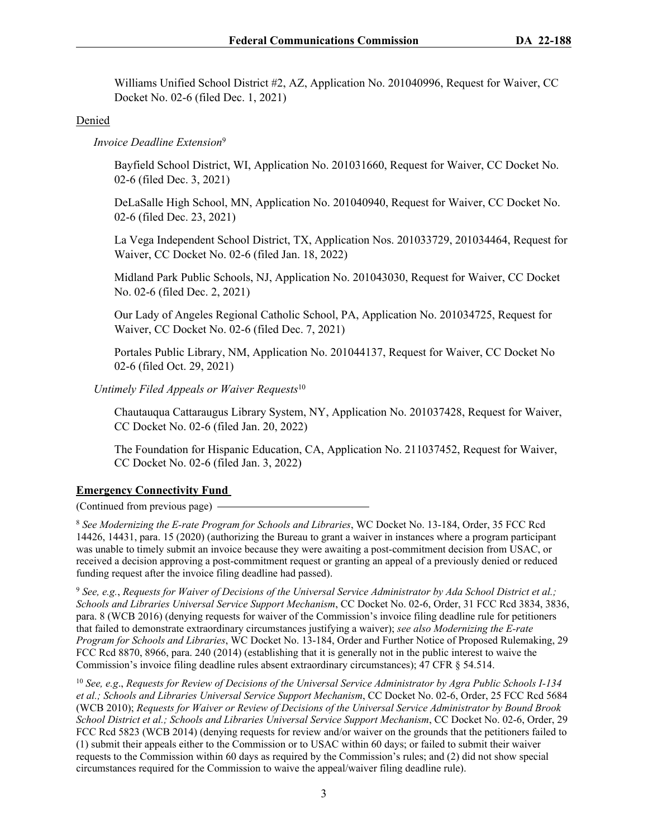Williams Unified School District #2, AZ, Application No. 201040996, Request for Waiver, CC Docket No. 02-6 (filed Dec. 1, 2021)

## Denied

## *Invoice Deadline Extension*<sup>9</sup>

Bayfield School District, WI, Application No. 201031660, Request for Waiver, CC Docket No. 02-6 (filed Dec. 3, 2021)

DeLaSalle High School, MN, Application No. 201040940, Request for Waiver, CC Docket No. 02-6 (filed Dec. 23, 2021)

La Vega Independent School District, TX, Application Nos. 201033729, 201034464, Request for Waiver, CC Docket No. 02-6 (filed Jan. 18, 2022)

Midland Park Public Schools, NJ, Application No. 201043030, Request for Waiver, CC Docket No. 02-6 (filed Dec. 2, 2021)

Our Lady of Angeles Regional Catholic School, PA, Application No. 201034725, Request for Waiver, CC Docket No. 02-6 (filed Dec. 7, 2021)

Portales Public Library, NM, Application No. 201044137, Request for Waiver, CC Docket No 02-6 (filed Oct. 29, 2021)

*Untimely Filed Appeals or Waiver Requests*<sup>10</sup>

Chautauqua Cattaraugus Library System, NY, Application No. 201037428, Request for Waiver, CC Docket No. 02-6 (filed Jan. 20, 2022)

The Foundation for Hispanic Education, CA, Application No. 211037452, Request for Waiver, CC Docket No. 02-6 (filed Jan. 3, 2022)

# **Emergency Connectivity Fund**

(Continued from previous page)

<sup>8</sup> *See Modernizing the E-rate Program for Schools and Libraries*, WC Docket No. 13-184, Order, 35 FCC Rcd 14426, 14431, para. 15 (2020) (authorizing the Bureau to grant a waiver in instances where a program participant was unable to timely submit an invoice because they were awaiting a post-commitment decision from USAC, or received a decision approving a post-commitment request or granting an appeal of a previously denied or reduced funding request after the invoice filing deadline had passed).

<sup>9</sup> *See, e.g.*, *Requests for Waiver of Decisions of the Universal Service Administrator by Ada School District et al.; Schools and Libraries Universal Service Support Mechanism*, CC Docket No. 02-6, Order, 31 FCC Rcd 3834, 3836, para. 8 (WCB 2016) (denying requests for waiver of the Commission's invoice filing deadline rule for petitioners that failed to demonstrate extraordinary circumstances justifying a waiver); *see also Modernizing the E-rate Program for Schools and Libraries*, WC Docket No. 13-184, Order and Further Notice of Proposed Rulemaking, 29 FCC Rcd 8870, 8966, para. 240 (2014) (establishing that it is generally not in the public interest to waive the Commission's invoice filing deadline rules absent extraordinary circumstances); 47 CFR § 54.514.

<sup>10</sup> *See, e.g*., *Requests for Review of Decisions of the Universal Service Administrator by Agra Public Schools I-134 et al.; Schools and Libraries Universal Service Support Mechanism*, CC Docket No. 02-6, Order, 25 FCC Rcd 5684 (WCB 2010); *Requests for Waiver or Review of Decisions of the Universal Service Administrator by Bound Brook School District et al.; Schools and Libraries Universal Service Support Mechanism*, CC Docket No. 02-6, Order, 29 FCC Rcd 5823 (WCB 2014) (denying requests for review and/or waiver on the grounds that the petitioners failed to (1) submit their appeals either to the Commission or to USAC within 60 days; or failed to submit their waiver requests to the Commission within 60 days as required by the Commission's rules; and (2) did not show special circumstances required for the Commission to waive the appeal/waiver filing deadline rule).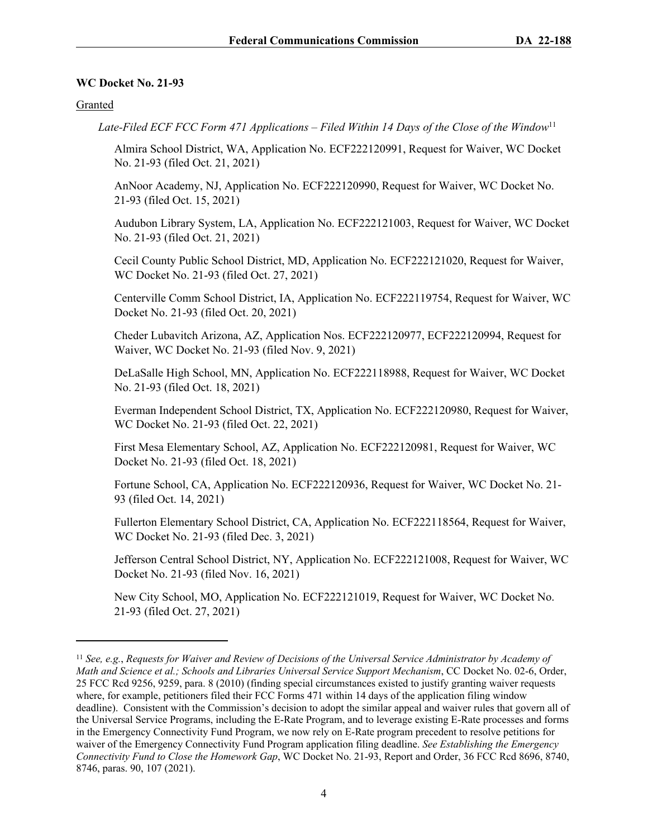### **WC Docket No. 21-93**

Granted

 *Late-Filed ECF FCC Form 471 Applications – Filed Within 14 Days of the Close of the Window*<sup>11</sup>

Almira School District, WA, Application No. ECF222120991, Request for Waiver, WC Docket No. 21-93 (filed Oct. 21, 2021)

AnNoor Academy, NJ, Application No. ECF222120990, Request for Waiver, WC Docket No. 21-93 (filed Oct. 15, 2021)

Audubon Library System, LA, Application No. ECF222121003, Request for Waiver, WC Docket No. 21-93 (filed Oct. 21, 2021)

Cecil County Public School District, MD, Application No. ECF222121020, Request for Waiver, WC Docket No. 21-93 (filed Oct. 27, 2021)

Centerville Comm School District, IA, Application No. ECF222119754, Request for Waiver, WC Docket No. 21-93 (filed Oct. 20, 2021)

Cheder Lubavitch Arizona, AZ, Application Nos. ECF222120977, ECF222120994, Request for Waiver, WC Docket No. 21-93 (filed Nov. 9, 2021)

DeLaSalle High School, MN, Application No. ECF222118988, Request for Waiver, WC Docket No. 21-93 (filed Oct. 18, 2021)

Everman Independent School District, TX, Application No. ECF222120980, Request for Waiver, WC Docket No. 21-93 (filed Oct. 22, 2021)

First Mesa Elementary School, AZ, Application No. ECF222120981, Request for Waiver, WC Docket No. 21-93 (filed Oct. 18, 2021)

Fortune School, CA, Application No. ECF222120936, Request for Waiver, WC Docket No. 21- 93 (filed Oct. 14, 2021)

Fullerton Elementary School District, CA, Application No. ECF222118564, Request for Waiver, WC Docket No. 21-93 (filed Dec. 3, 2021)

Jefferson Central School District, NY, Application No. ECF222121008, Request for Waiver, WC Docket No. 21-93 (filed Nov. 16, 2021)

New City School, MO, Application No. ECF222121019, Request for Waiver, WC Docket No. 21-93 (filed Oct. 27, 2021)

<sup>11</sup> *See, e.g.*, *Requests for Waiver and Review of Decisions of the Universal Service Administrator by Academy of Math and Science et al.; Schools and Libraries Universal Service Support Mechanism*, CC Docket No. 02-6, Order, 25 FCC Rcd 9256, 9259, para. 8 (2010) (finding special circumstances existed to justify granting waiver requests where, for example, petitioners filed their FCC Forms 471 within 14 days of the application filing window deadline). Consistent with the Commission's decision to adopt the similar appeal and waiver rules that govern all of the Universal Service Programs, including the E-Rate Program, and to leverage existing E-Rate processes and forms in the Emergency Connectivity Fund Program, we now rely on E-Rate program precedent to resolve petitions for waiver of the Emergency Connectivity Fund Program application filing deadline. *See Establishing the Emergency Connectivity Fund to Close the Homework Gap*, WC Docket No. 21-93, Report and Order, 36 FCC Rcd 8696, 8740, 8746, paras. 90, 107 (2021).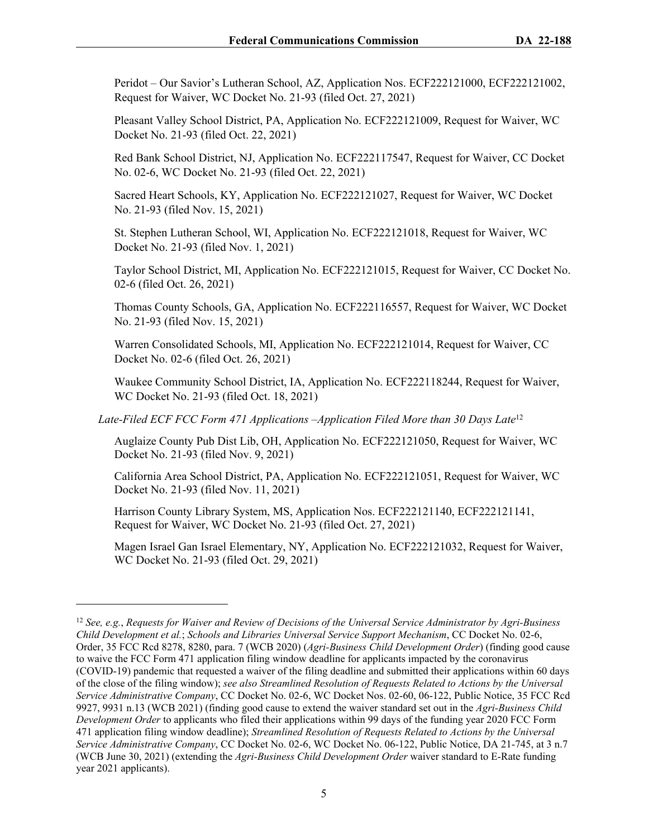Peridot – Our Savior's Lutheran School, AZ, Application Nos. ECF222121000, ECF222121002, Request for Waiver, WC Docket No. 21-93 (filed Oct. 27, 2021)

Pleasant Valley School District, PA, Application No. ECF222121009, Request for Waiver, WC Docket No. 21-93 (filed Oct. 22, 2021)

Red Bank School District, NJ, Application No. ECF222117547, Request for Waiver, CC Docket No. 02-6, WC Docket No. 21-93 (filed Oct. 22, 2021)

Sacred Heart Schools, KY, Application No. ECF222121027, Request for Waiver, WC Docket No. 21-93 (filed Nov. 15, 2021)

St. Stephen Lutheran School, WI, Application No. ECF222121018, Request for Waiver, WC Docket No. 21-93 (filed Nov. 1, 2021)

Taylor School District, MI, Application No. ECF222121015, Request for Waiver, CC Docket No. 02-6 (filed Oct. 26, 2021)

Thomas County Schools, GA, Application No. ECF222116557, Request for Waiver, WC Docket No. 21-93 (filed Nov. 15, 2021)

Warren Consolidated Schools, MI, Application No. ECF222121014, Request for Waiver, CC Docket No. 02-6 (filed Oct. 26, 2021)

Waukee Community School District, IA, Application No. ECF222118244, Request for Waiver, WC Docket No. 21-93 (filed Oct. 18, 2021)

 *Late-Filed ECF FCC Form 471 Applications –Application Filed More than 30 Days Late*<sup>12</sup>

Auglaize County Pub Dist Lib, OH, Application No. ECF222121050, Request for Waiver, WC Docket No. 21-93 (filed Nov. 9, 2021)

California Area School District, PA, Application No. ECF222121051, Request for Waiver, WC Docket No. 21-93 (filed Nov. 11, 2021)

Harrison County Library System, MS, Application Nos. ECF222121140, ECF222121141, Request for Waiver, WC Docket No. 21-93 (filed Oct. 27, 2021)

Magen Israel Gan Israel Elementary, NY, Application No. ECF222121032, Request for Waiver, WC Docket No. 21-93 (filed Oct. 29, 2021)

<sup>12</sup> *See, e.g.*, *Requests for Waiver and Review of Decisions of the Universal Service Administrator by Agri-Business Child Development et al.*; *Schools and Libraries Universal Service Support Mechanism*, CC Docket No. 02-6, Order, 35 FCC Rcd 8278, 8280, para. 7 (WCB 2020) (*Agri-Business Child Development Order*) (finding good cause to waive the FCC Form 471 application filing window deadline for applicants impacted by the coronavirus (COVID-19) pandemic that requested a waiver of the filing deadline and submitted their applications within 60 days of the close of the filing window); *see also Streamlined Resolution of Requests Related to Actions by the Universal Service Administrative Company*, CC Docket No. 02-6, WC Docket Nos. 02-60, 06-122, Public Notice, 35 FCC Rcd 9927, 9931 n.13 (WCB 2021) (finding good cause to extend the waiver standard set out in the *Agri-Business Child Development Order* to applicants who filed their applications within 99 days of the funding year 2020 FCC Form 471 application filing window deadline); *Streamlined Resolution of Requests Related to Actions by the Universal Service Administrative Company*, CC Docket No. 02-6, WC Docket No. 06-122, Public Notice, DA 21-745, at 3 n.7 (WCB June 30, 2021) (extending the *Agri-Business Child Development Order* waiver standard to E-Rate funding year 2021 applicants).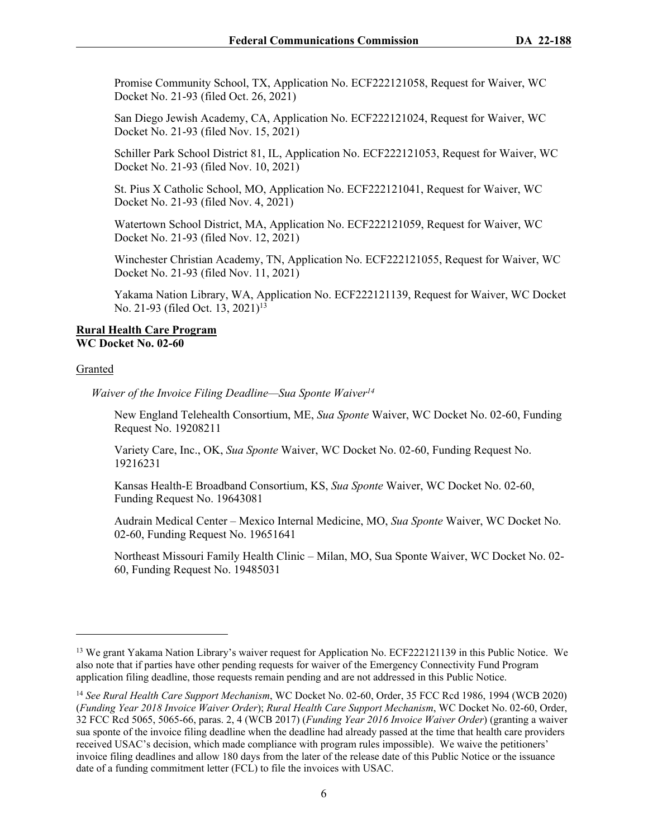Promise Community School, TX, Application No. ECF222121058, Request for Waiver, WC Docket No. 21-93 (filed Oct. 26, 2021)

San Diego Jewish Academy, CA, Application No. ECF222121024, Request for Waiver, WC Docket No. 21-93 (filed Nov. 15, 2021)

Schiller Park School District 81, IL, Application No. ECF222121053, Request for Waiver, WC Docket No. 21-93 (filed Nov. 10, 2021)

St. Pius X Catholic School, MO, Application No. ECF222121041, Request for Waiver, WC Docket No. 21-93 (filed Nov. 4, 2021)

Watertown School District, MA, Application No. ECF222121059, Request for Waiver, WC Docket No. 21-93 (filed Nov. 12, 2021)

Winchester Christian Academy, TN, Application No. ECF222121055, Request for Waiver, WC Docket No. 21-93 (filed Nov. 11, 2021)

Yakama Nation Library, WA, Application No. ECF222121139, Request for Waiver, WC Docket No. 21-93 (filed Oct. 13, 2021)<sup>13</sup>

#### **Rural Health Care Program WC Docket No. 02-60**

#### Granted

*Waiver of the Invoice Filing Deadline—Sua Sponte Waiver<sup>14</sup>*

New England Telehealth Consortium, ME, *Sua Sponte* Waiver, WC Docket No. 02-60, Funding Request No. 19208211

Variety Care, Inc., OK, *Sua Sponte* Waiver, WC Docket No. 02-60, Funding Request No. 19216231

Kansas Health-E Broadband Consortium, KS, *Sua Sponte* Waiver, WC Docket No. 02-60, Funding Request No. 19643081

Audrain Medical Center – Mexico Internal Medicine, MO, *Sua Sponte* Waiver, WC Docket No. 02-60, Funding Request No. 19651641

Northeast Missouri Family Health Clinic – Milan, MO, Sua Sponte Waiver, WC Docket No. 02- 60, Funding Request No. 19485031

<sup>13</sup> We grant Yakama Nation Library's waiver request for Application No. ECF222121139 in this Public Notice. We also note that if parties have other pending requests for waiver of the Emergency Connectivity Fund Program application filing deadline, those requests remain pending and are not addressed in this Public Notice.

<sup>14</sup> *See Rural Health Care Support Mechanism*, WC Docket No. 02-60, Order, 35 FCC Rcd 1986, 1994 (WCB 2020) (*Funding Year 2018 Invoice Waiver Order*); *Rural Health Care Support Mechanism*, WC Docket No. 02-60, Order, 32 FCC Rcd 5065, 5065-66, paras. 2, 4 (WCB 2017) (*Funding Year 2016 Invoice Waiver Order*) (granting a waiver sua sponte of the invoice filing deadline when the deadline had already passed at the time that health care providers received USAC's decision, which made compliance with program rules impossible). We waive the petitioners' invoice filing deadlines and allow 180 days from the later of the release date of this Public Notice or the issuance date of a funding commitment letter (FCL) to file the invoices with USAC.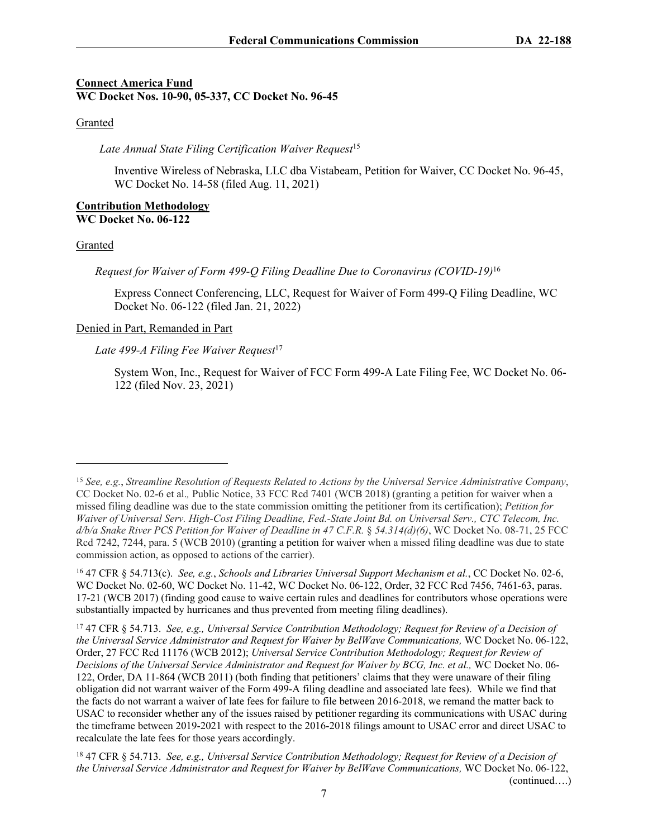# **Connect America Fund WC Docket Nos. 10-90, 05-337, CC Docket No. 96-45**

## Granted

*Late Annual State Filing Certification Waiver Request*<sup>15</sup>

Inventive Wireless of Nebraska, LLC dba Vistabeam, Petition for Waiver, CC Docket No. 96-45, WC Docket No. 14-58 (filed Aug. 11, 2021)

## **Contribution Methodology WC Docket No. 06-122**

## Granted

*Request for Waiver of Form 499-Q Filing Deadline Due to Coronavirus (COVID-19)*<sup>16</sup>

Express Connect Conferencing, LLC, Request for Waiver of Form 499-Q Filing Deadline, WC Docket No. 06-122 (filed Jan. 21, 2022)

## Denied in Part, Remanded in Part

Late 499-A Filing Fee Waiver Request<sup>17</sup>

System Won, Inc., Request for Waiver of FCC Form 499-A Late Filing Fee, WC Docket No. 06- 122 (filed Nov. 23, 2021)

<sup>15</sup> *See, e.g.*, *Streamline Resolution of Requests Related to Actions by the Universal Service Administrative Company*, CC Docket No. 02-6 et al.*,* Public Notice, 33 FCC Rcd 7401 (WCB 2018) (granting a petition for waiver when a missed filing deadline was due to the state commission omitting the petitioner from its certification); *Petition for Waiver of Universal Serv. High-Cost Filing Deadline, Fed.-State Joint Bd. on Universal Serv., CTC Telecom, Inc. d/b/a Snake River PCS Petition for Waiver of Deadline in 47 C.F.R.* § *54.314(d)(6)*, WC Docket No. 08-71, 25 FCC Rcd 7242, 7244, para. 5 (WCB 2010) (granting a petition for waiver when a missed filing deadline was due to state commission action, as opposed to actions of the carrier).

<sup>16</sup> 47 CFR § 54.713(c). *See, e.g.*, *Schools and Libraries Universal Support Mechanism et al.*, CC Docket No. 02-6, WC Docket No. 02-60, WC Docket No. 11-42, WC Docket No. 06-122, Order, 32 FCC Rcd 7456, 7461-63, paras. 17-21 (WCB 2017) (finding good cause to waive certain rules and deadlines for contributors whose operations were substantially impacted by hurricanes and thus prevented from meeting filing deadlines).

<sup>17</sup> 47 CFR § 54.713. *See, e.g., Universal Service Contribution Methodology; Request for Review of a Decision of the Universal Service Administrator and Request for Waiver by BelWave Communications,* WC Docket No. 06-122, Order, 27 FCC Rcd 11176 (WCB 2012); *Universal Service Contribution Methodology; Request for Review of Decisions of the Universal Service Administrator and Request for Waiver by BCG, Inc. et al.,* WC Docket No. 06- 122, Order, DA 11-864 (WCB 2011) (both finding that petitioners' claims that they were unaware of their filing obligation did not warrant waiver of the Form 499-A filing deadline and associated late fees). While we find that the facts do not warrant a waiver of late fees for failure to file between 2016-2018, we remand the matter back to USAC to reconsider whether any of the issues raised by petitioner regarding its communications with USAC during the timeframe between 2019-2021 with respect to the 2016-2018 filings amount to USAC error and direct USAC to recalculate the late fees for those years accordingly.

<sup>18</sup> 47 CFR § 54.713. *See, e.g., Universal Service Contribution Methodology; Request for Review of a Decision of the Universal Service Administrator and Request for Waiver by BelWave Communications,* WC Docket No. 06-122, (continued….)